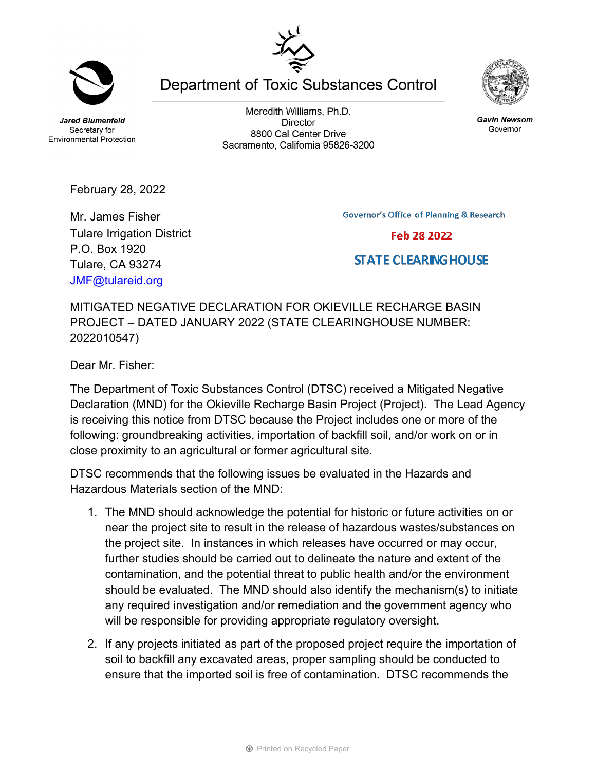**Jared Blumenfeld** Secretary for **Environmental Protection** 

February 28, 2022

Mr. James Fisher

P.O. Box 1920 Tulare, CA 93274 [JMF@tulareid.org](mailto:JMF@tulareid.org)

Tulare Irrigation District

Meredith Williams, Ph.D. **Director** 8800 Cal Center Drive Sacramento, California 95826-3200

**Department of Toxic Substances Control** 

**Governor's Office of Planning & Research** 

**STATE CLEARING HOUSE** 

MITIGATED NEGATIVE DECLARATION FOR OKIEVILLE RECHARGE BASIN PROJECT – DATED JANUARY 2022 (STATE CLEARINGHOUSE NUMBER: 2022010547)

Dear Mr. Fisher:

The Department of Toxic Substances Control (DTSC) received a Mitigated Negative Declaration (MND) for the Okieville Recharge Basin Project (Project). The Lead Agency is receiving this notice from DTSC because the Project includes one or more of the following: groundbreaking activities, importation of backfill soil, and/or work on or in close proximity to an agricultural or former agricultural site.

DTSC recommends that the following issues be evaluated in the Hazards and Hazardous Materials section of the MND:

- 1. The MND should acknowledge the potential for historic or future activities on or near the project site to result in the release of hazardous wastes/substances on the project site. In instances in which releases have occurred or may occur, further studies should be carried out to delineate the nature and extent of the contamination, and the potential threat to public health and/or the environment should be evaluated. The MND should also identify the mechanism(s) to initiate any required investigation and/or remediation and the government agency who will be responsible for providing appropriate regulatory oversight.
- 2. If any projects initiated as part of the proposed project require the importation of soil to backfill any excavated areas, proper sampling should be conducted to ensure that the imported soil is free of contamination. DTSC recommends the

**Gavin Newsom** Governor





Feb 28 2022